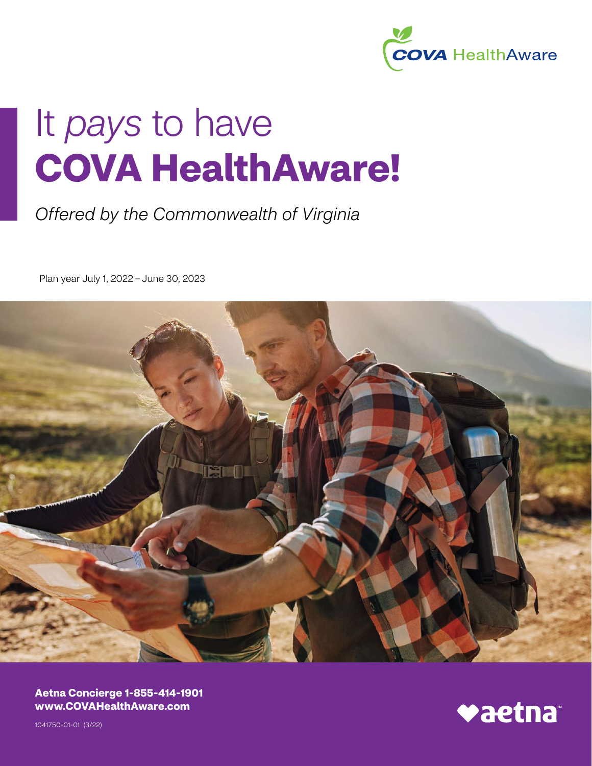

# It *pays* to have **COVA HealthAware!**

## *Offered by the Commonwealth of Virginia*

Plan year July 1, 2022 – June 30, 2023



**- - Aetna Concierge 1-855-414-1901 [www.COVAHealthAware.com](http://www.COVAHealthAware.com)**

- - 1041750-01-01 (3/22)

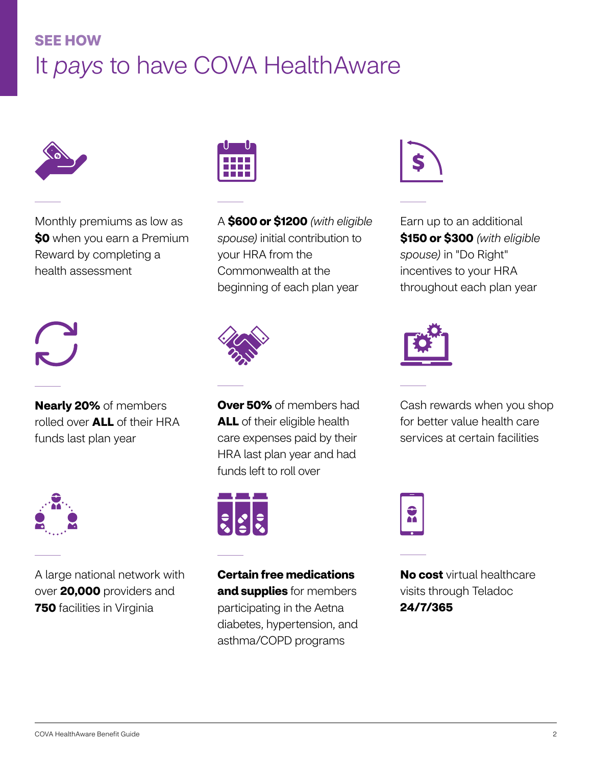## **SEE HOW**  It *pays* to have COVA HealthAware



Monthly premiums as low as **\$0** when you earn a Premium Reward by completing a health assessment



**Nearly 20%** of members rolled over **ALL** of their HRA funds last plan year



A large national network with over **20,000** providers and **750** facilities in Virginia



A **\$600 or \$1200** *(with eligible spouse)* initial contribution to your HRA from the Commonwealth at the beginning of each plan year



**Over 50%** of members had **ALL** of their eligible health care expenses paid by their HRA last plan year and had funds left to roll over



**Certain free medications and supplies** for members participating in the Aetna diabetes, hypertension, and asthma/COPD programs



Earn up to an additional **\$150 or \$300** *(with eligible spouse)* in "Do Right" incentives to your HRA throughout each plan year



Cash rewards when you shop for better value health care services at certain facilities



**No cost** virtual healthcare visits through Teladoc **24/7/365**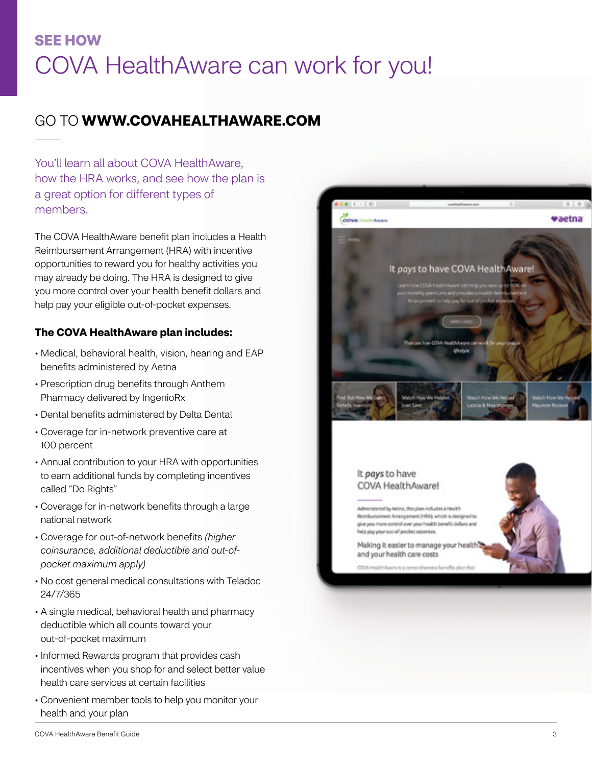## **SEE HOW** COVA HealthAware can work for you!

### GO TO **WWW.COVAHEALTHAWARE.COM**

You'll learn all about COVA HealthAware, how the HRA works, and see how the plan is a great option for different types of members.

The COVA HealthAware benefit plan includes a Health Reimbursement Arrangement (HRA) with incentive opportunities to reward you for healthy activities you may already be doing. The HRA is designed to give you more control over your health benefit dollars and help pay your eligible out-of-pocket expenses.

### **The COVA HealthAware plan includes:**

- Medical, behavioral health, vision, hearing and EAP benefits administered by Aetna
- Prescription drug benefits through Anthem Pharmacy delivered by IngenioRx
- Dental benefits administered by Delta Dental
- Coverage for in-network preventive care at 100 percent
- Annual contribution to your HRA with opportunities to earn additional funds by completing incentives called "Do Rights" • Medical, behavioral health, benefits administered by Ae<br>• Prescription drug benefits th<br>Pharmacy delivered by Inge<br>• Dental benefits administerec<br>• Coverage for in-network pre<br>100 percent<br>• Annual contribution to your  $\d$
- Coverage for in-network benefits through a large national network
- Coverage for out-of-network benefits *(higher coinsurance, additional deductible and out-ofpocket maximum apply)*
- No cost general medical consultations with Teladoc 24/7/365
- A single medical, behavioral health and pharmacy deductible which all counts toward your out-of-pocket maximum
- Informed Rewards program that provides cash incentives when you shop for and select better value health care services at certain facilities
- Convenient member tools to help you monitor your health and your plan



### It pays to have COVA HealthAware!

notered by Aetna, this plan includes a Health Reimbursement Anangement (HRA), which is designed to give you more control over your health benefit dollars and help pay your out-of-pocket expenses.

Making it easier to manage your health and your health care costs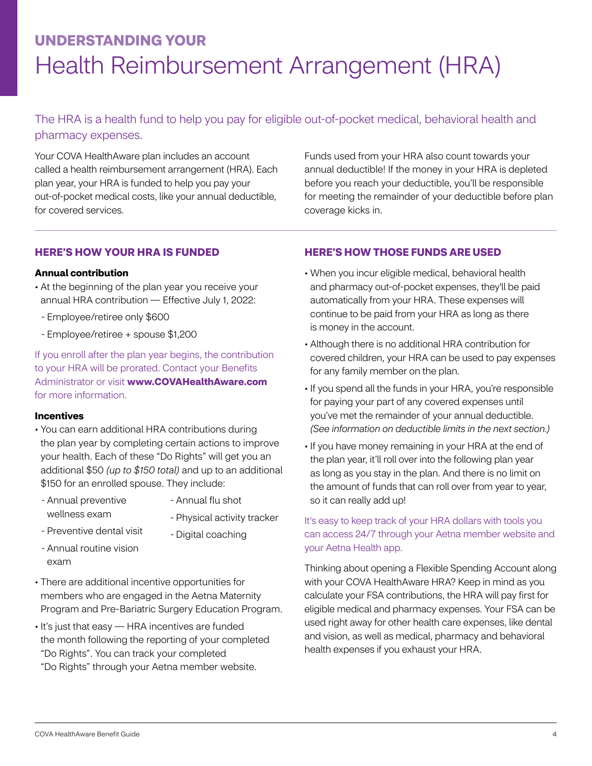## **UNDERSTANDING YOUR** Health Reimbursement Arrangement (HRA)

The HRA is a health fund to help you pay for eligible out-of-pocket medical, behavioral health and pharmacy expenses.

Your COVA HealthAware plan includes an account called a health reimbursement arrangement (HRA). Each plan year, your HRA is funded to help you pay your out-of-pocket medical costs, like your annual deductible, for covered services.

Funds used from your HRA also count towards your annual deductible! If the money in your HRA is depleted before you reach your deductible, you'll be responsible for meeting the remainder of your deductible before plan coverage kicks in.

### **HERE'S HOW YOUR HRA IS FUNDED**

### **Annual contribution**

- At the beginning of the plan year you receive your annual HRA contribution — Effective July 1, 2022:
- Employee/retiree only \$600
- Employee/retiree + spouse \$1,200

If you enroll after the plan year begins, the contribution to your HRA will be prorated. Contact your Benefits Administrator or visit **www.COVAHealthAware.com**  for more information.

### **Incentives**

- You can earn additional HRA contributions during the plan year by completing certain actions to improve your health. Each of these "Do Rights" will get you an additional \$50 *(up to \$150 total)* and up to an additional \$150 for an enrolled spouse. They include:
- Annual preventive wellness exam
- Annual flu shot
- Physical activity tracker
- Preventive dental visit
- Digital coaching
- Annual routine vision exam
- There are additional incentive opportunities for members who are engaged in the Aetna Maternity Program and Pre-Bariatric Surgery Education Program.
- It's just that easy HRA incentives are funded the month following the reporting of your completed "Do Rights". You can track your completed "Do Rights" through your Aetna member website.

### **HERE'S HOW THOSE FUNDS ARE USED**

- When you incur eligible medical, behavioral health and pharmacy out-of-pocket expenses, they'll be paid automatically from your HRA. These expenses will continue to be paid from your HRA as long as there is money in the account.
- Although there is no additional HRA contribution for covered children, your HRA can be used to pay expenses for any family member on the plan.
- If you spend all the funds in your HRA, you're responsible for paying your part of any covered expenses until you've met the remainder of your annual deductible. *(See information on deductible limits in the next section.)*
- If you have money remaining in your HRA at the end of the plan year, it'll roll over into the following plan year as long as you stay in the plan. And there is no limit on the amount of funds that can roll over from year to year, so it can really add up!

### It's easy to keep track of your HRA dollars with tools you can access 24/7 through your Aetna member website and your Aetna Health app.

Thinking about opening a Flexible Spending Account along with your COVA HealthAware HRA? Keep in mind as you calculate your FSA contributions, the HRA will pay first for eligible medical and pharmacy expenses. Your FSA can be used right away for other health care expenses, like dental and vision, as well as medical, pharmacy and behavioral health expenses if you exhaust your HRA.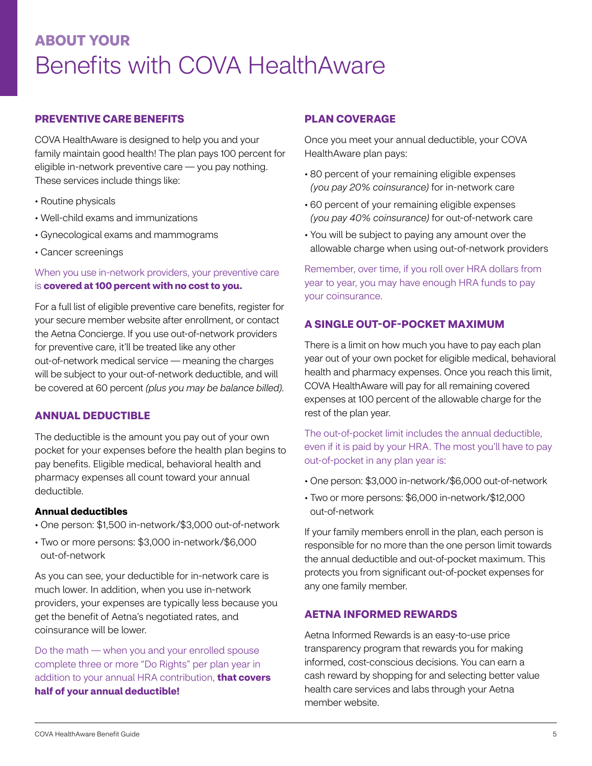## **ABOUT YOUR** Benefits with COVA HealthAware

### **PREVENTIVE CARE BENEFITS**

COVA HealthAware is designed to help you and your family maintain good health! The plan pays 100 percent for eligible in-network preventive care — you pay nothing. These services include things like:

- Routine physicals
- Well-child exams and immunizations
- Gynecological exams and mammograms
- Cancer screenings

### When you use in-network providers, your preventive care is **covered at 100 percent with no cost to you.**

For a full list of eligible preventive care benefits, register for your secure member website after enrollment, or contact the Aetna Concierge. If you use out-of-network providers for preventive care, it'll be treated like any other out-of-network medical service — meaning the charges will be subject to your out-of-network deductible, and will be covered at 60 percent *(plus you may be balance billed)*.

### **ANNUAL DEDUCTIBLE**

The deductible is the amount you pay out of your own pocket for your expenses before the health plan begins to pay benefits. Eligible medical, behavioral health and pharmacy expenses all count toward your annual deductible.

### **Annual deductibles**

- One person: \$1,500 in-network/\$3,000 out-of-network
- Two or more persons: \$3,000 in-network/\$6,000 out-of-network

As you can see, your deductible for in-network care is much lower. In addition, when you use in-network providers, your expenses are typically less because you get the benefit of Aetna's negotiated rates, and coinsurance will be lower.

Do the math — when you and your enrolled spouse complete three or more "Do Rights" per plan year in addition to your annual HRA contribution, **that covers half of your annual deductible!** 

### **PLAN COVERAGE**

Once you meet your annual deductible, your COVA HealthAware plan pays:

- 80 percent of your remaining eligible expenses *(you pay 20% coinsurance)* for in-network care
- 60 percent of your remaining eligible expenses *(you pay 40% coinsurance)* for out-of-network care
- You will be subject to paying any amount over the allowable charge when using out-of-network providers

Remember, over time, if you roll over HRA dollars from year to year, you may have enough HRA funds to pay your coinsurance.

### **A SINGLE OUT‑OF‑POCKET MAXIMUM**

There is a limit on how much you have to pay each plan year out of your own pocket for eligible medical, behavioral health and pharmacy expenses. Once you reach this limit, COVA HealthAware will pay for all remaining covered expenses at 100 percent of the allowable charge for the rest of the plan year.

The out-of-pocket limit includes the annual deductible, even if it is paid by your HRA. The most you'll have to pay out-of-pocket in any plan year is:

- One person: \$3,000 in-network/\$6,000 out-of-network
- Two or more persons: \$6,000 in-network/\$12,000 out-of-network

If your family members enroll in the plan, each person is responsible for no more than the one person limit towards the annual deductible and out-of-pocket maximum. This protects you from significant out-of-pocket expenses for any one family member.

### **AETNA INFORMED REWARDS**

Aetna Informed Rewards is an easy-to-use price transparency program that rewards you for making informed, cost-conscious decisions. You can earn a cash reward by shopping for and selecting better value health care services and labs through your Aetna member website.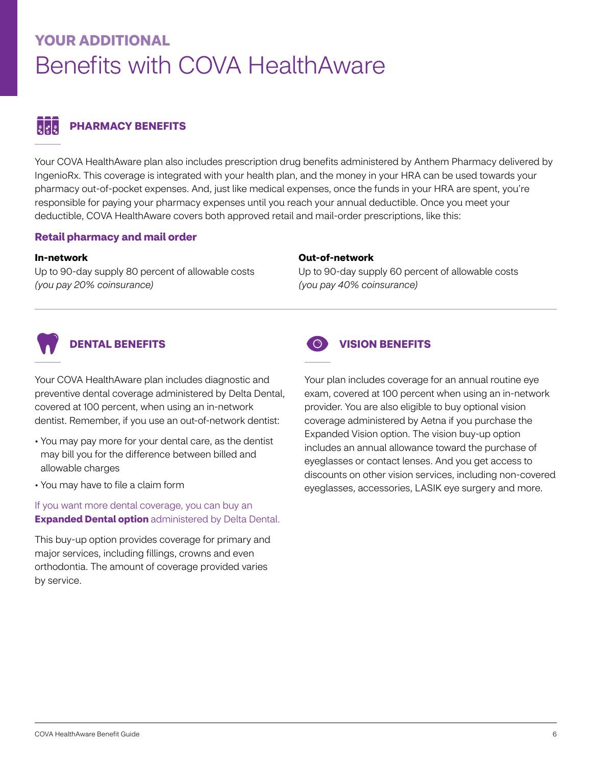## **YOUR ADDITIONAL** Benefits with COVA HealthAware

### $\frac{1}{2}$ **PHARMACY BENEFITS**

Your COVA HealthAware plan also includes prescription drug benefits administered by Anthem Pharmacy delivered by IngenioRx. This coverage is integrated with your health plan, and the money in your HRA can be used towards your pharmacy out-of-pocket expenses. And, just like medical expenses, once the funds in your HRA are spent, you're responsible for paying your pharmacy expenses until you reach your annual deductible. Once you meet your deductible, COVA HealthAware covers both approved retail and mail-order prescriptions, like this:

### **Retail pharmacy and mail order**

### **In-network**

Up to 90-day supply 80 percent of allowable costs *(you pay 20% coinsurance)* 

### **Out-of-network**

Up to 90-day supply 60 percent of allowable costs *(you pay 40% coinsurance)* 



### **DENTAL BENEFITS**

Your COVA HealthAware plan includes diagnostic and preventive dental coverage administered by Delta Dental, covered at 100 percent, when using an in-network dentist. Remember, if you use an out-of-network dentist:

- You may pay more for your dental care, as the dentist may bill you for the difference between billed and allowable charges
- You may have to file a claim form

If you want more dental coverage, you can buy an **Expanded Dental option** administered by Delta Dental.

This buy-up option provides coverage for primary and major services, including fillings, crowns and even orthodontia. The amount of coverage provided varies by service.



### **VISION BENEFITS**

Your plan includes coverage for an annual routine eye exam, covered at 100 percent when using an in-network provider. You are also eligible to buy optional vision coverage administered by Aetna if you purchase the Expanded Vision option. The vision buy-up option includes an annual allowance toward the purchase of eyeglasses or contact lenses. And you get access to discounts on other vision services, including non-covered eyeglasses, accessories, LASIK eye surgery and more.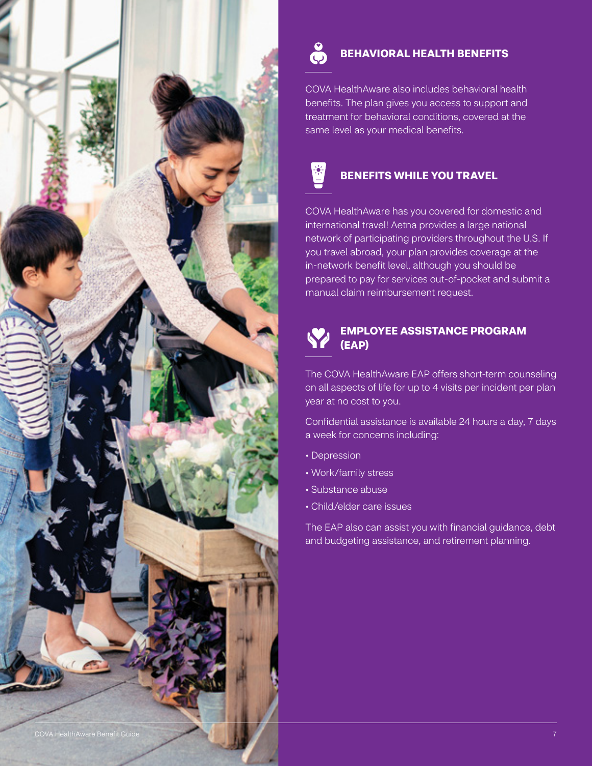

### **BEHAVIORAL HEALTH BENEFITS**

COVA HealthAware also includes behavioral health benefits. The plan gives you access to support and treatment for behavioral conditions, covered at the same level as your medical benefits.

![](_page_6_Picture_3.jpeg)

COVA HealthAware has you covered for domestic and international travel! Aetna provides a large national network of participating providers throughout the U.S. If you travel abroad, your plan provides coverage at the in-network benefit level, although you should be prepared to pay for services out-of-pocket and submit a manual claim reimbursement request.

### **EMPLOYEE ASSISTANCE PROGRAM (EAP)**

The COVA HealthAware EAP offers short-term counseling on all aspects of life for up to 4 visits per incident per plan year at no cost to you.

Confidential assistance is available 24 hours a day, 7 days a week for concerns including:

- Depression
- Work/family stress
- Substance abuse
- Child/elder care issues

The EAP also can assist you with financial guidance, debt and budgeting assistance, and retirement planning.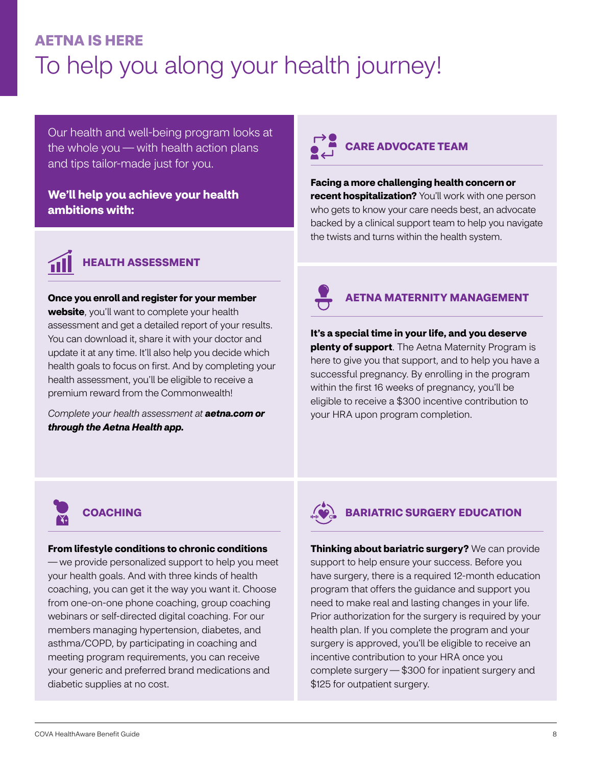## **AETNA IS HERE**  To help you along your health journey!

Our health and well-being program looks at the whole you — with health action plans and tips tailor-made just for you.

### **We'll help you achieve your health ambitions with:**

![](_page_7_Picture_3.jpeg)

### **HEALTH ASSESSMENT**

**Once you enroll and register for your member** 

**website**, you'll want to complete your health assessment and get a detailed report of your results. You can download it, share it with your doctor and update it at any time. It'll also help you decide which health goals to focus on first. And by completing your health assessment, you'll be eligible to receive a premium reward from the Commonwealth!

*Complete your health assessment at aetna.com or through the Aetna Health app.* 

## **CARE ADVOCATE TEAM**

**Facing a more challenging health concern or recent hospitalization?** You'll work with one person who gets to know your care needs best, an advocate backed by a clinical support team to help you navigate the twists and turns within the health system.

![](_page_7_Picture_10.jpeg)

### **AETNA MATERNITY MANAGEMENT**

**It's a special time in your life, and you deserve plenty of support**. The Aetna Maternity Program is here to give you that support, and to help you have a successful pregnancy. By enrolling in the program within the first 16 weeks of pregnancy, you'll be eligible to receive a \$300 incentive contribution to your HRA upon program completion.

![](_page_7_Picture_13.jpeg)

### **From lifestyle conditions to chronic conditions**

— we provide personalized support to help you meet your health goals. And with three kinds of health coaching, you can get it the way you want it. Choose from one-on-one phone coaching, group coaching webinars or self-directed digital coaching. For our members managing hypertension, diabetes, and asthma/COPD, by participating in coaching and meeting program requirements, you can receive your generic and preferred brand medications and diabetic supplies at no cost.

![](_page_7_Picture_16.jpeg)

### **BARIATRIC SURGERY EDUCATION**

**Thinking about bariatric surgery?** We can provide support to help ensure your success. Before you have surgery, there is a required 12-month education program that offers the guidance and support you need to make real and lasting changes in your life. Prior authorization for the surgery is required by your health plan. If you complete the program and your surgery is approved, you'll be eligible to receive an incentive contribution to your HRA once you complete surgery — \$300 for inpatient surgery and \$125 for outpatient surgery.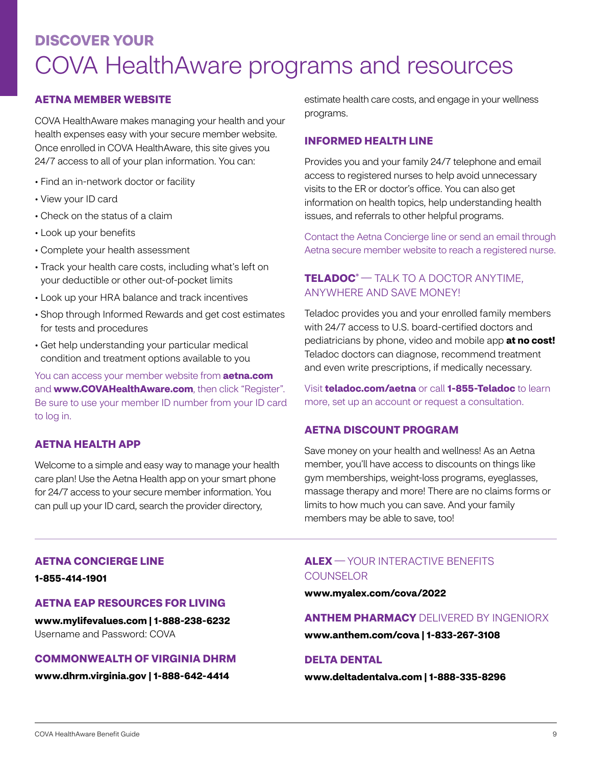## **DISCOVER YOUR**  COVA HealthAware programs and resources

### **AETNA MEMBER WEBSITE**

COVA HealthAware makes managing your health and your health expenses easy with your secure member website. Once enrolled in COVA HealthAware, this site gives you 24/7 access to all of your plan information. You can:

- Find an in-network doctor or facility
- View your ID card
- Check on the status of a claim
- Look up your benefits
- Complete your health assessment
- Track your health care costs, including what's left on your deductible or other out-of-pocket limits
- Look up your HRA balance and track incentives
- Shop through Informed Rewards and get cost estimates for tests and procedures
- Get help understanding your particular medical condition and treatment options available to you

You can access your member website from **aetna.com**  and **www.COVAHealthAware.com**, then click "Register". Be sure to use your member ID number from your ID card to log in.

### **AETNA HEALTH APP**

Welcome to a simple and easy way to manage your health care plan! Use the Aetna Health app on your smart phone for 24/7 access to your secure member information. You can pull up your ID card, search the provider directory,

estimate health care costs, and engage in your wellness programs.

### **INFORMED HEALTH LINE**

Provides you and your family 24/7 telephone and email access to registered nurses to help avoid unnecessary visits to the ER or doctor's office. You can also get information on health topics, help understanding health issues, and referrals to other helpful programs.

Contact the Aetna Concierge line or send an email through Aetna secure member website to reach a registered nurse.

### **TELADOC®** — TALK TO A DOCTOR ANYTIME, ANYWHERE AND SAVE MONEY!

Teladoc provides you and your enrolled family members with 24/7 access to U.S. board-certified doctors and pediatricians by phone, video and mobile app **at no cost!**  Teladoc doctors can diagnose, recommend treatment and even write prescriptions, if medically necessary.

Visit **[teladoc.com/aetna](http://teladoc.com/aetna)** or call **1-855-Teladoc** to learn more, set up an account or request a consultation.

### **AETNA DISCOUNT PROGRAM**

Save money on your health and wellness! As an Aetna member, you'll have access to discounts on things like gym memberships, weight-loss programs, eyeglasses, massage therapy and more! There are no claims forms or limits to how much you can save. And your family members may be able to save, too!

### **AETNA CONCIERGE LINE**

**1-855-414-1901** 

### **AETNA EAP RESOURCES FOR LIVING**

**www.mylifevalues.com | 1-888-238-6232**  Username and Password: COVA

### **COMMONWEALTH OF VIRGINIA DHRM**

**www.dhrm.virginia.gov | 1-888-642-4414** 

### **ALEX** — YOUR INTERACTIVE BENEFITS **COUNSELOR**

**www.myalex.com/cova/2022** 

### **ANTHEM PHARMACY** DELIVERED BY INGENIORX

**www.anthem.com/cova | 1-833-267-3108** 

### **DELTA DENTAL**

**www.deltadentalva.com | 1-888-335-8296**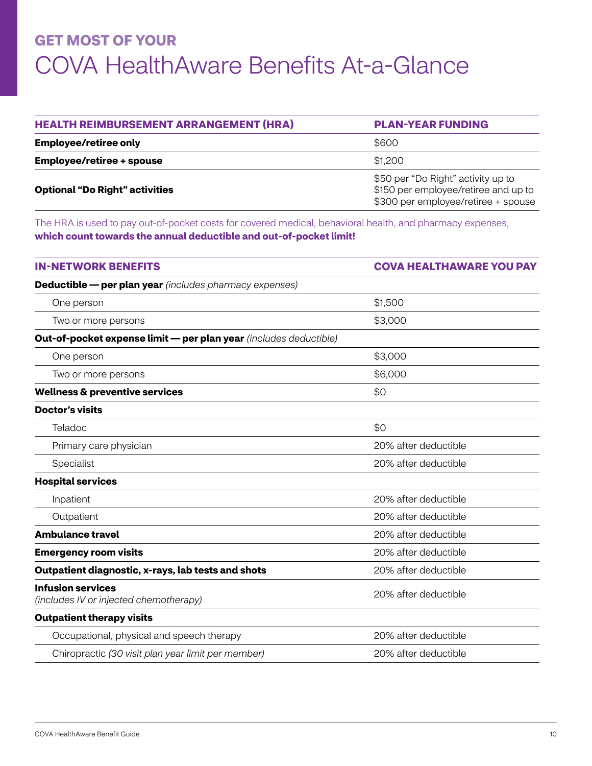## **GET MOST OF YOUR**  COVA HealthAware Benefits At-a-Glance

| <b>HEALTH REIMBURSEMENT ARRANGEMENT (HRA)</b> | <b>PLAN-YEAR FUNDING</b>                                                                                          |
|-----------------------------------------------|-------------------------------------------------------------------------------------------------------------------|
| <b>Employee/retiree only</b>                  | \$600                                                                                                             |
| <b>Employee/retiree + spouse</b>              | \$1,200                                                                                                           |
| <b>Optional "Do Right" activities</b>         | \$50 per "Do Right" activity up to<br>\$150 per employee/retiree and up to<br>\$300 per employee/retiree + spouse |

The HRA is used to pay out-of-pocket costs for covered medical, behavioral health, and pharmacy expenses, **which count towards the annual deductible and out-of-pocket limit!** 

| <b>IN-NETWORK BENEFITS</b>                                         | <b>COVA HEALTHAWARE YOU PAY</b> |
|--------------------------------------------------------------------|---------------------------------|
| <b>Deductible — per plan year</b> (includes pharmacy expenses)     |                                 |
| One person                                                         | \$1,500                         |
| Two or more persons                                                | \$3,000                         |
| Out-of-pocket expense limit - per plan year (includes deductible)  |                                 |
| One person                                                         | \$3,000                         |
| Two or more persons                                                | \$6,000                         |
| <b>Wellness &amp; preventive services</b>                          | \$0                             |
| <b>Doctor's visits</b>                                             |                                 |
| Teladoc                                                            | \$0                             |
| Primary care physician                                             | 20% after deductible            |
| Specialist                                                         | 20% after deductible            |
| <b>Hospital services</b>                                           |                                 |
| Inpatient                                                          | 20% after deductible            |
| Outpatient                                                         | 20% after deductible            |
| <b>Ambulance travel</b>                                            | 20% after deductible            |
| <b>Emergency room visits</b>                                       | 20% after deductible            |
| Outpatient diagnostic, x-rays, lab tests and shots                 | 20% after deductible            |
| <b>Infusion services</b><br>(includes IV or injected chemotherapy) | 20% after deductible            |
| <b>Outpatient therapy visits</b>                                   |                                 |
| Occupational, physical and speech therapy                          | 20% after deductible            |
| Chiropractic (30 visit plan year limit per member)                 | 20% after deductible            |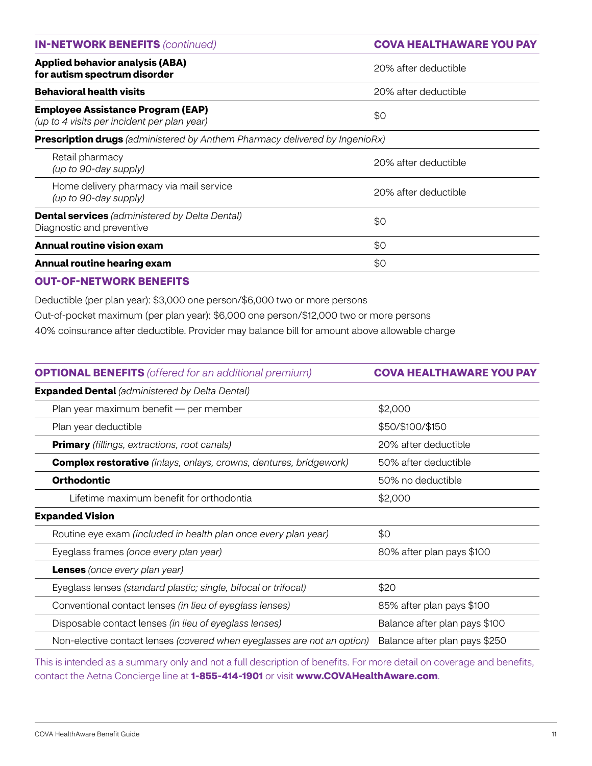| <b>IN-NETWORK BENEFITS (continued)</b>                                                  | <b>COVA HEALTHAWARE YOU PAY</b> |
|-----------------------------------------------------------------------------------------|---------------------------------|
| <b>Applied behavior analysis (ABA)</b><br>for autism spectrum disorder                  | 20% after deductible            |
| <b>Behavioral health visits</b>                                                         | 20% after deductible            |
| <b>Employee Assistance Program (EAP)</b><br>(up to 4 visits per incident per plan year) | \$0                             |
| <b>Prescription drugs</b> (administered by Anthem Pharmacy delivered by IngenioRx)      |                                 |
| Retail pharmacy<br>(up to 90-day supply)                                                | 20% after deductible            |
| Home delivery pharmacy via mail service<br>(up to 90-day supply)                        | 20% after deductible            |
| <b>Dental services</b> (administered by Delta Dental)<br>Diagnostic and preventive      | \$0                             |
| <b>Annual routine vision exam</b>                                                       | \$0                             |
| Annual routine hearing exam                                                             | \$0                             |

### **OUT‑OF‑NETWORK BENEFITS**

Deductible (per plan year): \$3,000 one person/\$6,000 two or more persons Out-of-pocket maximum (per plan year): \$6,000 one person/\$12,000 two or more persons 40% coinsurance after deductible. Provider may balance bill for amount above allowable charge

| <b>OPTIONAL BENEFITS</b> (offered for an additional premium)              | <b>COVA HEALTHAWARE YOU PAY</b> |
|---------------------------------------------------------------------------|---------------------------------|
| <b>Expanded Dental</b> (administered by Delta Dental)                     |                                 |
| Plan year maximum benefit — per member                                    | \$2,000                         |
| Plan year deductible                                                      | \$50/\$100/\$150                |
| <b>Primary</b> (fillings, extractions, root canals)                       | 20% after deductible            |
| <b>Complex restorative</b> (inlays, onlays, crowns, dentures, bridgework) | 50% after deductible            |
| <b>Orthodontic</b>                                                        | 50% no deductible               |
| Lifetime maximum benefit for orthodontia                                  | \$2,000                         |
| <b>Expanded Vision</b>                                                    |                                 |
| Routine eye exam (included in health plan once every plan year)           | \$0                             |
| Eyeglass frames (once every plan year)                                    | 80% after plan pays \$100       |
| <b>Lenses</b> (once every plan year)                                      |                                 |
| Eyeglass lenses (standard plastic; single, bifocal or trifocal)           | \$20                            |
| Conventional contact lenses (in lieu of eyeglass lenses)                  | 85% after plan pays \$100       |
| Disposable contact lenses (in lieu of eyeglass lenses)                    | Balance after plan pays \$100   |
| Non-elective contact lenses (covered when eyeglasses are not an option)   | Balance after plan pays \$250   |

This is intended as a summary only and not a full description of benefits. For more detail on coverage and benefits, contact the Aetna Concierge line at **1-855-414-1901** or visit **www.COVAHealthAware.com**.